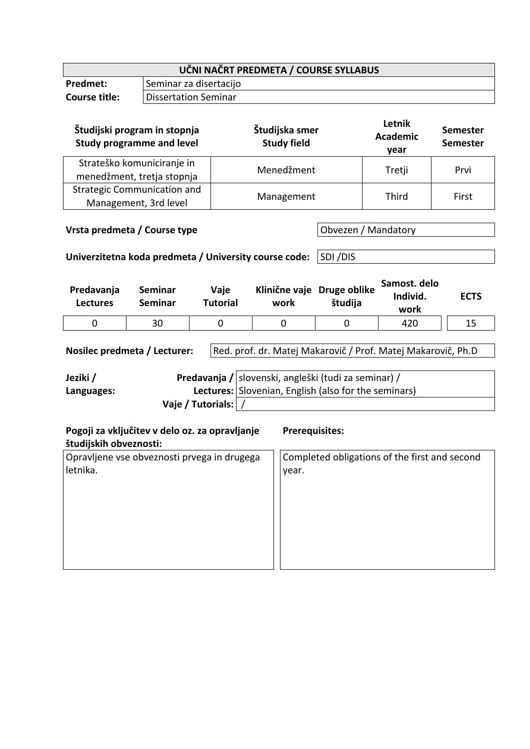| UČNI NAČRT PREDMETA / COURSE SYLLABUS |                        |  |  |
|---------------------------------------|------------------------|--|--|
| <b>Predmet:</b>                       | Seminar za disertacijo |  |  |
| Course title:                         | Dissertation Seminar   |  |  |
|                                       |                        |  |  |

| Študijski program in stopnja<br><b>Study programme and level</b> | Študijska smer<br><b>Study field</b> | Letnik<br><b>Academic</b><br>year | <b>Semester</b><br>Semester |
|------------------------------------------------------------------|--------------------------------------|-----------------------------------|-----------------------------|
| Strateško komuniciranje in<br>menedžment, tretja stopnja         | Menedžment                           | Tretji                            | Prvi                        |
| <b>Strategic Communication and</b><br>Management, 3rd level      | Management                           | Third                             | First                       |

**Obvezen / Mandatory** 

**Univerzitetna koda predmeta / University course code:** SDI /DIS

| Predavanja<br><b>Lectures</b> | Seminar<br>Seminar | Vaje<br>Tutorial | Klinične vaje Druge oblike<br>work | študija | Samost. delo<br>Individ.<br>work | <b>ECTS</b> |
|-------------------------------|--------------------|------------------|------------------------------------|---------|----------------------------------|-------------|
|                               | 30                 |                  |                                    |         | 420                              |             |

Nosilec predmeta / Lecturer: Red. prof. dr. Matej Makarovič / Prof. Matej Makarovič, Ph.D

| Jeziki /   |                       | Predavanja / slovenski, angleški (tudi za seminar) / |
|------------|-----------------------|------------------------------------------------------|
| Languages: |                       | Lectures: Slovenian, English (also for the seminars) |
|            | Vaje / Tutorials:   / |                                                      |

| Pogoji za vključitev v delo oz. za opravljanje<br>študijskih obveznosti: | <b>Prerequisites:</b>                         |
|--------------------------------------------------------------------------|-----------------------------------------------|
| Opravljene vse obveznosti prvega in drugega                              | Completed obligations of the first and second |
| letnika.                                                                 | year.                                         |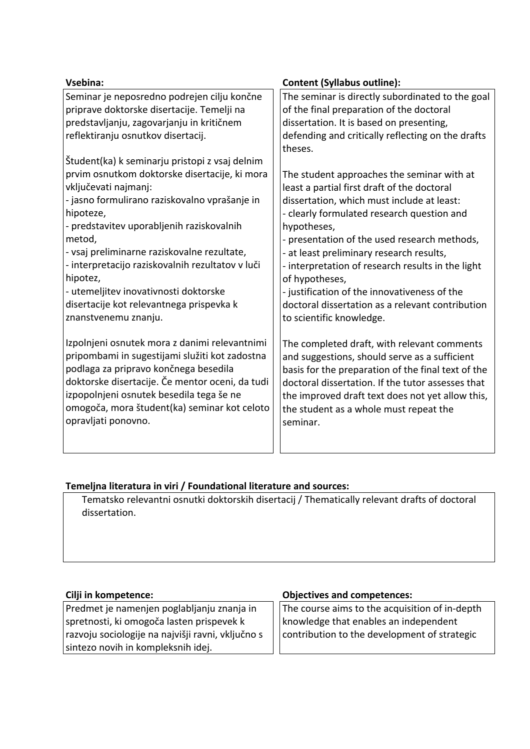| Vsebina:                                         | <b>Content (Syllabus outline):</b>                 |
|--------------------------------------------------|----------------------------------------------------|
| Seminar je neposredno podrejen cilju končne      | The seminar is directly subordinated to the goal   |
| priprave doktorske disertacije. Temelji na       | of the final preparation of the doctoral           |
| predstavljanju, zagovarjanju in kritičnem        | dissertation. It is based on presenting,           |
| reflektiranju osnutkov disertacij.               | defending and critically reflecting on the drafts  |
| Študent(ka) k seminarju pristopi z vsaj delnim   | theses.                                            |
| prvim osnutkom doktorske disertacije, ki mora    | The student approaches the seminar with at         |
| vključevati najmanj:                             | least a partial first draft of the doctoral        |
| - jasno formulirano raziskovalno vprašanje in    | dissertation, which must include at least:         |
| hipoteze,                                        | - clearly formulated research question and         |
| - predstavitev uporabljenih raziskovalnih        | hypotheses,                                        |
| metod,                                           | - presentation of the used research methods,       |
| - vsaj preliminarne raziskovalne rezultate,      | - at least preliminary research results,           |
| - interpretacijo raziskovalnih rezultatov v luči | - interpretation of research results in the light  |
| hipotez,                                         | of hypotheses,                                     |
| - utemeljitev inovativnosti doktorske            | - justification of the innovativeness of the       |
| disertacije kot relevantnega prispevka k         | doctoral dissertation as a relevant contribution   |
| znanstvenemu znanju.                             | to scientific knowledge.                           |
| Izpolnjeni osnutek mora z danimi relevantnimi    | The completed draft, with relevant comments        |
| pripombami in sugestijami služiti kot zadostna   | and suggestions, should serve as a sufficient      |
| podlaga za pripravo končnega besedila            | basis for the preparation of the final text of the |
| doktorske disertacije. Če mentor oceni, da tudi  | doctoral dissertation. If the tutor assesses that  |
| izpopolnjeni osnutek besedila tega še ne         | the improved draft text does not yet allow this,   |
| omogoča, mora študent(ka) seminar kot celoto     | the student as a whole must repeat the             |
| opravljati ponovno.                              | seminar.                                           |

## **Temeljna literatura in viri / Foundational literature and sources:**

Tematsko relevantni osnutki doktorskih disertacij / Thematically relevant drafts of doctoral dissertation.

Predmet je namenjen poglabljanju znanja in spretnosti, ki omogoča lasten prispevek k razvoju sociologije na najvišji ravni, vključno s sintezo novih in kompleksnih idej.

## **Cilji in kompetence: Objectives and competences:**

The course aims to the acquisition of in-depth knowledge that enables an independent contribution to the development of strategic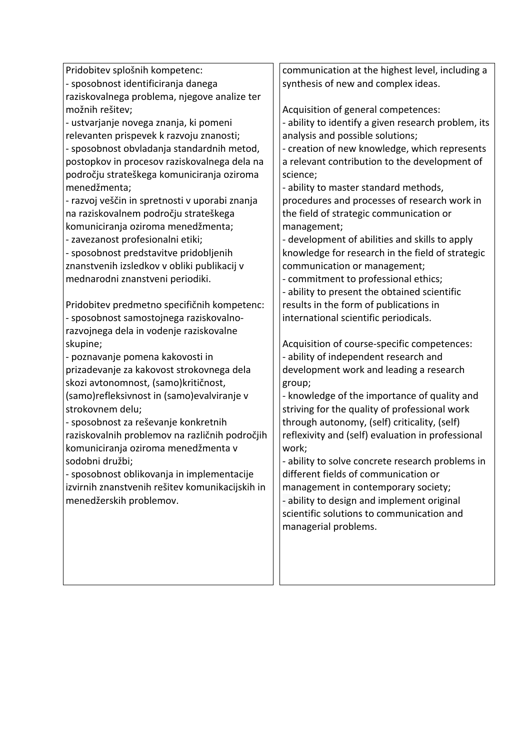| Pridobitev splošnih kompetenc:                  | communication at the highest level, including a     |
|-------------------------------------------------|-----------------------------------------------------|
| - sposobnost identificiranja danega             | synthesis of new and complex ideas.                 |
| raziskovalnega problema, njegove analize ter    |                                                     |
| možnih rešitev;                                 | Acquisition of general competences:                 |
| - ustvarjanje novega znanja, ki pomeni          | - ability to identify a given research problem, its |
| relevanten prispevek k razvoju znanosti;        | analysis and possible solutions;                    |
| - sposobnost obvladanja standardnih metod,      | - creation of new knowledge, which represents       |
| postopkov in procesov raziskovalnega dela na    | a relevant contribution to the development of       |
| področju strateškega komuniciranja oziroma      | science;                                            |
| menedžmenta;                                    | - ability to master standard methods,               |
| - razvoj veščin in spretnosti v uporabi znanja  | procedures and processes of research work in        |
| na raziskovalnem področju strateškega           | the field of strategic communication or             |
| komuniciranja oziroma menedžmenta;              | management;                                         |
| - zavezanost profesionalni etiki;               | - development of abilities and skills to apply      |
| - sposobnost predstavitve pridobljenih          | knowledge for research in the field of strategic    |
| znanstvenih izsledkov v obliki publikacij v     | communication or management;                        |
| mednarodni znanstveni periodiki.                | - commitment to professional ethics;                |
|                                                 | - ability to present the obtained scientific        |
| Pridobitev predmetno specifičnih kompetenc:     | results in the form of publications in              |
| - sposobnost samostojnega raziskovalno-         | international scientific periodicals.               |
| razvojnega dela in vodenje raziskovalne         |                                                     |
| skupine;                                        | Acquisition of course-specific competences:         |
| - poznavanje pomena kakovosti in                | - ability of independent research and               |
| prizadevanje za kakovost strokovnega dela       | development work and leading a research             |
| skozi avtonomnost, (samo)kritičnost,            | group;                                              |
| (samo)refleksivnost in (samo)evalviranje v      | - knowledge of the importance of quality and        |
| strokovnem delu;                                | striving for the quality of professional work       |
| - sposobnost za reševanje konkretnih            | through autonomy, (self) criticality, (self)        |
| raziskovalnih problemov na različnih področjih  | reflexivity and (self) evaluation in professional   |
| komuniciranja oziroma menedžmenta v             | work;                                               |
| sodobni družbi;                                 | ability to solve concrete research problems in      |
| - sposobnost oblikovanja in implementacije      | different fields of communication or                |
| izvirnih znanstvenih rešitev komunikacijskih in | management in contemporary society;                 |
| menedžerskih problemov.                         | - ability to design and implement original          |
|                                                 | scientific solutions to communication and           |
|                                                 | managerial problems.                                |
|                                                 |                                                     |
|                                                 |                                                     |
|                                                 |                                                     |
|                                                 |                                                     |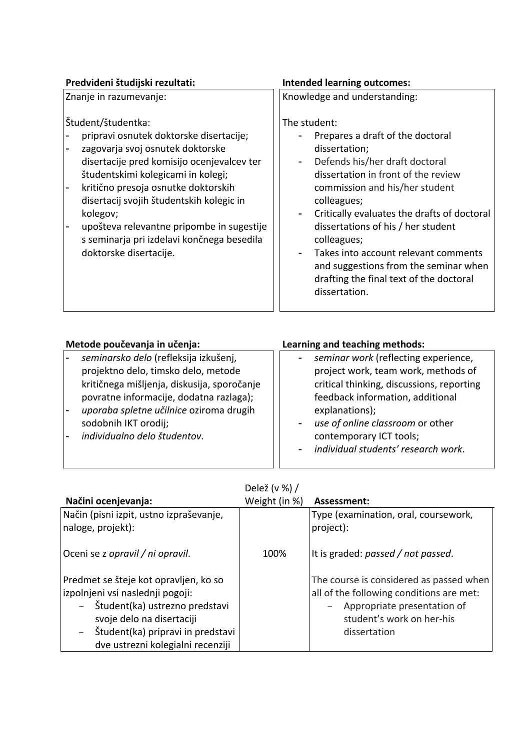| Predvideni študijski rezultati:                                                                                                                                                                                                                                                                                                                                                                           | <b>Intended learning outcomes:</b>                                                                                                                                                                                                                                                                                                                                                                                                           |
|-----------------------------------------------------------------------------------------------------------------------------------------------------------------------------------------------------------------------------------------------------------------------------------------------------------------------------------------------------------------------------------------------------------|----------------------------------------------------------------------------------------------------------------------------------------------------------------------------------------------------------------------------------------------------------------------------------------------------------------------------------------------------------------------------------------------------------------------------------------------|
| Znanje in razumevanje:                                                                                                                                                                                                                                                                                                                                                                                    | Knowledge and understanding:                                                                                                                                                                                                                                                                                                                                                                                                                 |
| Študent/študentka:<br>pripravi osnutek doktorske disertacije;<br>zagovarja svoj osnutek doktorske<br>disertacije pred komisijo ocenjevalcev ter<br>študentskimi kolegicami in kolegi;<br>kritično presoja osnutke doktorskih<br>disertacij svojih študentskih kolegic in<br>kolegov;<br>upošteva relevantne pripombe in sugestije<br>s seminarja pri izdelavi končnega besedila<br>doktorske disertacije. | The student:<br>Prepares a draft of the doctoral<br>dissertation;<br>Defends his/her draft doctoral<br>dissertation in front of the review<br>commission and his/her student<br>colleagues;<br>Critically evaluates the drafts of doctoral<br>dissertations of his / her student<br>colleagues;<br>Takes into account relevant comments<br>and suggestions from the seminar when<br>drafting the final text of the doctoral<br>dissertation. |

| Metode poučevanja in učenja:                                                                                                                                                                                                                                              | Learning and teaching methods:                                                                                                                                                                                                                                                       |
|---------------------------------------------------------------------------------------------------------------------------------------------------------------------------------------------------------------------------------------------------------------------------|--------------------------------------------------------------------------------------------------------------------------------------------------------------------------------------------------------------------------------------------------------------------------------------|
| seminarsko delo (refleksija izkušenj,<br>projektno delo, timsko delo, metode<br>kritičnega mišljenja, diskusija, sporočanje<br>povratne informacije, dodatna razlaga);<br>uporaba spletne učilnice oziroma drugih<br>sodobnih IKT orodij;<br>individualno delo študentov. | seminar work (reflecting experience,<br>project work, team work, methods of<br>critical thinking, discussions, reporting<br>feedback information, additional<br>explanations);<br>use of online classroom or other<br>contemporary ICT tools;<br>individual students' research work. |

|  | Delež (v %) / |
|--|---------------|
|--|---------------|

| Načini ocenjevanja:                                                                                                                                                                                                                                     | Weight (in %) | Assessment:                                                                                                                                                     |
|---------------------------------------------------------------------------------------------------------------------------------------------------------------------------------------------------------------------------------------------------------|---------------|-----------------------------------------------------------------------------------------------------------------------------------------------------------------|
| Način (pisni izpit, ustno izpraševanje,<br>naloge, projekt):                                                                                                                                                                                            |               | Type (examination, oral, coursework,<br>project):                                                                                                               |
| Oceni se z opravil / ni opravil.                                                                                                                                                                                                                        | 100%          | It is graded: passed / not passed.                                                                                                                              |
| Predmet se šteje kot opravljen, ko so<br>izpolnjeni vsi naslednji pogoji:<br>Študent(ka) ustrezno predstavi<br>$ \,$<br>svoje delo na disertaciji<br>Študent(ka) pripravi in predstavi<br>$\overline{\phantom{m}}$<br>dve ustrezni kolegialni recenziji |               | The course is considered as passed when<br>all of the following conditions are met:<br>Appropriate presentation of<br>student's work on her-his<br>dissertation |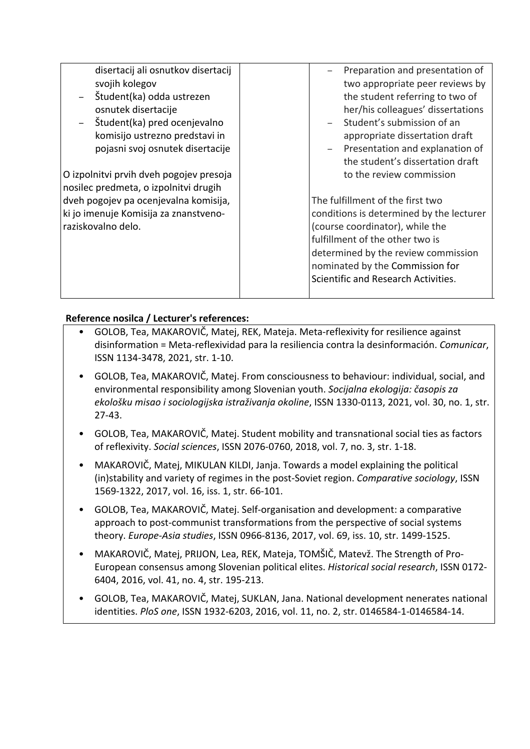| disertacij ali osnutkov disertacij                                                                   | Preparation and presentation of                                                                                                                                                                                                                                     |
|------------------------------------------------------------------------------------------------------|---------------------------------------------------------------------------------------------------------------------------------------------------------------------------------------------------------------------------------------------------------------------|
| svojih kolegov                                                                                       | two appropriate peer reviews by                                                                                                                                                                                                                                     |
| Študent(ka) odda ustrezen                                                                            | the student referring to two of                                                                                                                                                                                                                                     |
| osnutek disertacije                                                                                  | her/his colleagues' dissertations                                                                                                                                                                                                                                   |
| Študent(ka) pred ocenjevalno                                                                         | Student's submission of an                                                                                                                                                                                                                                          |
| komisijo ustrezno predstavi in                                                                       | appropriate dissertation draft                                                                                                                                                                                                                                      |
| pojasni svoj osnutek disertacije                                                                     | Presentation and explanation of                                                                                                                                                                                                                                     |
| O izpolnitvi prvih dveh pogojev presoja                                                              | the student's dissertation draft                                                                                                                                                                                                                                    |
| nosilec predmeta, o izpolnitvi drugih                                                                | to the review commission                                                                                                                                                                                                                                            |
| dveh pogojev pa ocenjevalna komisija,<br>ki jo imenuje Komisija za znanstveno-<br>raziskovalno delo. | The fulfillment of the first two<br>conditions is determined by the lecturer<br>(course coordinator), while the<br>fulfillment of the other two is<br>determined by the review commission<br>nominated by the Commission for<br>Scientific and Research Activities. |

## **Reference nosilca / Lecturer's references:**

- GOLOB, Tea, MAKAROVIČ, Matej, REK, Mateja. Meta-reflexivity for resilience against disinformation = Meta-reflexividad para la resiliencia contra la desinformación. *Comunicar*, ISSN 1134-3478, 2021, str. 1-10.
- GOLOB, Tea, MAKAROVIČ, Matej. From consciousness to behaviour: individual, social, and environmental responsibility among Slovenian youth. *Socijalna ekologija: časopis za ekološku misao i sociologijska istraživanja okoline*, ISSN 1330-0113, 2021, vol. 30, no. 1, str. 27-43.
- GOLOB, Tea, MAKAROVIČ, Matej. Student mobility and transnational social ties as factors of reflexivity. *Social sciences*, ISSN 2076-0760, 2018, vol. 7, no. 3, str. 1-18.
- MAKAROVIČ, Matej, MIKULAN KILDI, Janja. Towards a model explaining the political (in)stability and variety of regimes in the post-Soviet region. *Comparative sociology*, ISSN 1569-1322, 2017, vol. 16, iss. 1, str. 66-101.
- GOLOB, Tea, MAKAROVIČ, Matej. Self-organisation and development: a comparative approach to post-communist transformations from the perspective of social systems theory. *Europe-Asia studies*, ISSN 0966-8136, 2017, vol. 69, iss. 10, str. 1499-1525.
- MAKAROVIČ, Matej, PRIJON, Lea, REK, Mateja, TOMŠIČ, Matevž. The Strength of Pro-European consensus among Slovenian political elites. *Historical social research*, ISSN 0172- 6404, 2016, vol. 41, no. 4, str. 195-213.
- GOLOB, Tea, MAKAROVIČ, Matej, SUKLAN, Jana. National development nenerates national identities. *PloS one*, ISSN 1932-6203, 2016, vol. 11, no. 2, str. 0146584-1-0146584-14.